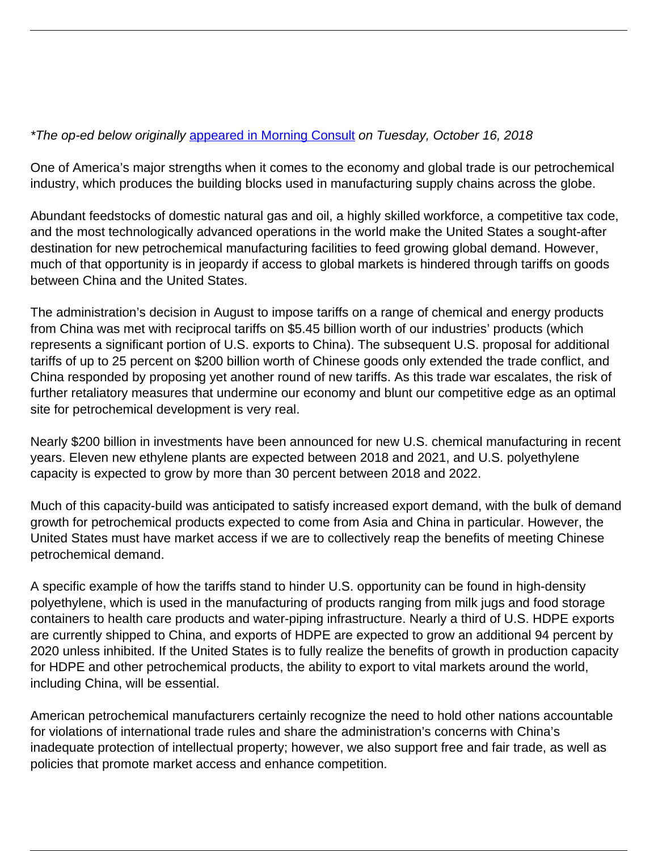## \*The op-ed below originally [appeared in Morning Consult](https://morningconsult.com/opinions/petrochemical-boom-could-go-bust-with-more-trade-tariffs/) on Tuesday, October 16, 2018

One of America's major strengths when it comes to the economy and global trade is our petrochemical industry, which produces the building blocks used in manufacturing supply chains across the globe.

Abundant feedstocks of domestic natural gas and oil, a highly skilled workforce, a competitive tax code, and the most technologically advanced operations in the world make the United States a sought-after destination for new petrochemical manufacturing facilities to feed growing global demand. However, much of that opportunity is in jeopardy if access to global markets is hindered through tariffs on goods between China and the United States.

The administration's decision in August to impose tariffs on a range of chemical and energy products from China was met with reciprocal tariffs on \$5.45 billion worth of our industries' products (which represents a significant portion of U.S. exports to China). The subsequent U.S. proposal for additional tariffs of up to 25 percent on \$200 billion worth of Chinese goods only extended the trade conflict, and China responded by proposing yet another round of new tariffs. As this trade war escalates, the risk of further retaliatory measures that undermine our economy and blunt our competitive edge as an optimal site for petrochemical development is very real.

Nearly \$200 billion in investments have been announced for new U.S. chemical manufacturing in recent years. Eleven new ethylene plants are expected between 2018 and 2021, and U.S. polyethylene capacity is expected to grow by more than 30 percent between 2018 and 2022.

Much of this capacity-build was anticipated to satisfy increased export demand, with the bulk of demand growth for petrochemical products expected to come from Asia and China in particular. However, the United States must have market access if we are to collectively reap the benefits of meeting Chinese petrochemical demand.

A specific example of how the tariffs stand to hinder U.S. opportunity can be found in high-density polyethylene, which is used in the manufacturing of products ranging from milk jugs and food storage containers to health care products and water-piping infrastructure. Nearly a third of U.S. HDPE exports are currently shipped to China, and exports of HDPE are expected to grow an additional 94 percent by 2020 unless inhibited. If the United States is to fully realize the benefits of growth in production capacity for HDPE and other petrochemical products, the ability to export to vital markets around the world, including China, will be essential.

American petrochemical manufacturers certainly recognize the need to hold other nations accountable for violations of international trade rules and share the administration's concerns with China's inadequate protection of intellectual property; however, we also support free and fair trade, as well as policies that promote market access and enhance competition.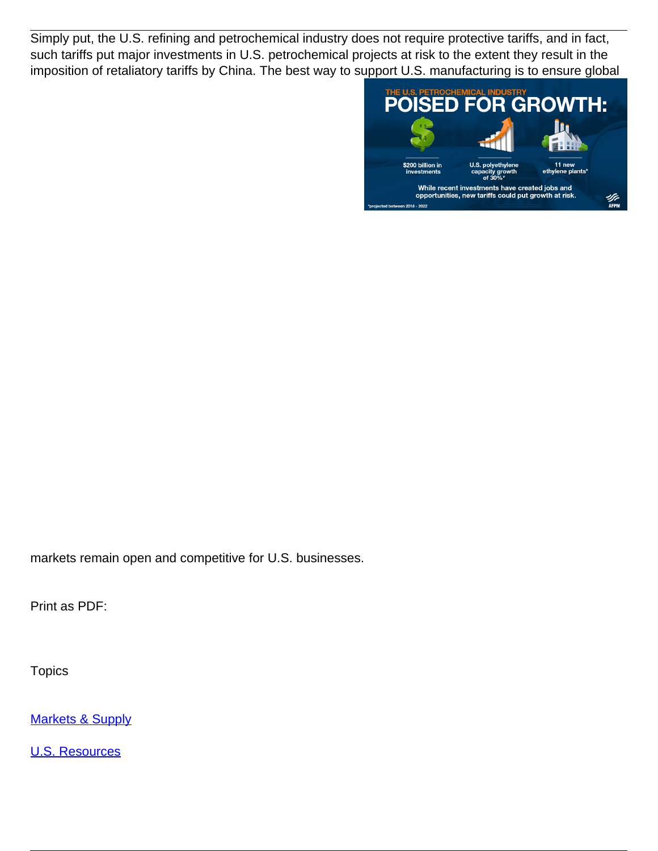Simply put, the U.S. refining and petrochemical industry does not require protective tariffs, and in fact, such tariffs put major investments in U.S. petrochemical projects at risk to the extent they result in the imposition of retaliatory tariffs by China. The best way to support U.S. manufacturing is to ensure global



markets remain open and competitive for U.S. businesses.

Print as PDF:

**Topics** 

**[Markets & Supply](/topic/markets-supply)** 

[U.S. Resources](/topic/us-resources)